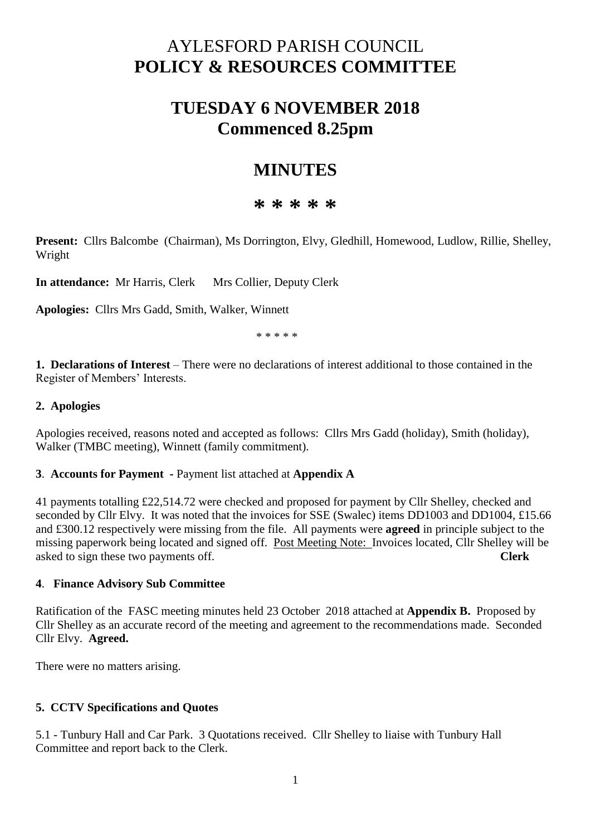# AYLESFORD PARISH COUNCIL **POLICY & RESOURCES COMMITTEE**

## **TUESDAY 6 NOVEMBER 2018 Commenced 8.25pm**

## **MINUTES**

### **\* \* \* \* \***

**Present:** Cllrs Balcombe (Chairman), Ms Dorrington, Elvy, Gledhill, Homewood, Ludlow, Rillie, Shelley, Wright

**In attendance:** Mr Harris, Clerk Mrs Collier, Deputy Clerk

**Apologies:** Cllrs Mrs Gadd, Smith, Walker, Winnett

\* \* \* \* \*

**1. Declarations of Interest** – There were no declarations of interest additional to those contained in the Register of Members' Interests.

#### **2. Apologies**

Apologies received, reasons noted and accepted as follows: Cllrs Mrs Gadd (holiday), Smith (holiday), Walker (TMBC meeting), Winnett (family commitment).

#### **3**. **Accounts for Payment -** Payment list attached at **Appendix A**

41 payments totalling £22,514.72 were checked and proposed for payment by Cllr Shelley, checked and seconded by Cllr Elvy. It was noted that the invoices for SSE (Swalec) items DD1003 and DD1004, £15.66 and £300.12 respectively were missing from the file. All payments were **agreed** in principle subject to the missing paperwork being located and signed off. Post Meeting Note: Invoices located, Cllr Shelley will be asked to sign these two payments off. **Clerk**

#### **4**. **Finance Advisory Sub Committee**

Ratification of the FASC meeting minutes held 23 October 2018 attached at **Appendix B.** Proposed by Cllr Shelley as an accurate record of the meeting and agreement to the recommendations made. Seconded Cllr Elvy. **Agreed.** 

There were no matters arising.

#### **5. CCTV Specifications and Quotes**

5.1 - Tunbury Hall and Car Park. 3 Quotations received. Cllr Shelley to liaise with Tunbury Hall Committee and report back to the Clerk.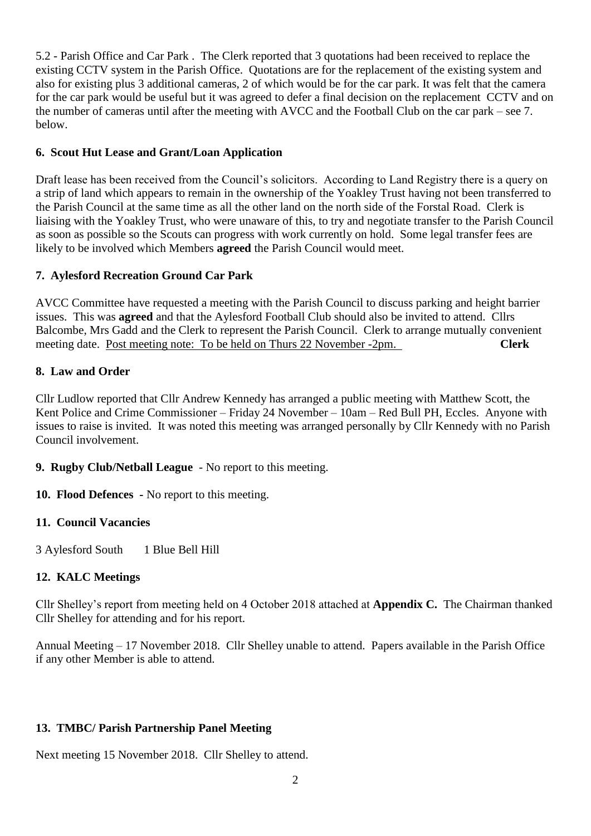5.2 - Parish Office and Car Park . The Clerk reported that 3 quotations had been received to replace the existing CCTV system in the Parish Office. Quotations are for the replacement of the existing system and also for existing plus 3 additional cameras, 2 of which would be for the car park. It was felt that the camera for the car park would be useful but it was agreed to defer a final decision on the replacement CCTV and on the number of cameras until after the meeting with AVCC and the Football Club on the car park – see 7. below.

#### **6. Scout Hut Lease and Grant/Loan Application**

Draft lease has been received from the Council's solicitors. According to Land Registry there is a query on a strip of land which appears to remain in the ownership of the Yoakley Trust having not been transferred to the Parish Council at the same time as all the other land on the north side of the Forstal Road. Clerk is liaising with the Yoakley Trust, who were unaware of this, to try and negotiate transfer to the Parish Council as soon as possible so the Scouts can progress with work currently on hold. Some legal transfer fees are likely to be involved which Members **agreed** the Parish Council would meet.

#### **7. Aylesford Recreation Ground Car Park**

AVCC Committee have requested a meeting with the Parish Council to discuss parking and height barrier issues. This was **agreed** and that the Aylesford Football Club should also be invited to attend. Cllrs Balcombe, Mrs Gadd and the Clerk to represent the Parish Council. Clerk to arrange mutually convenient meeting date. Post meeting note: To be held on Thurs 22 November -2pm. **Clerk**

#### **8. Law and Order**

Cllr Ludlow reported that Cllr Andrew Kennedy has arranged a public meeting with Matthew Scott, the Kent Police and Crime Commissioner – Friday 24 November – 10am – Red Bull PH, Eccles. Anyone with issues to raise is invited. It was noted this meeting was arranged personally by Cllr Kennedy with no Parish Council involvement.

- **9. Rugby Club/Netball League** No report to this meeting.
- **10. Flood Defences -** No report to this meeting.

### **11. Council Vacancies**

3 Aylesford South 1 Blue Bell Hill

### **12. KALC Meetings**

Cllr Shelley's report from meeting held on 4 October 2018 attached at **Appendix C.** The Chairman thanked Cllr Shelley for attending and for his report.

Annual Meeting – 17 November 2018. Cllr Shelley unable to attend. Papers available in the Parish Office if any other Member is able to attend.

### **13. TMBC/ Parish Partnership Panel Meeting**

Next meeting 15 November 2018. Cllr Shelley to attend.